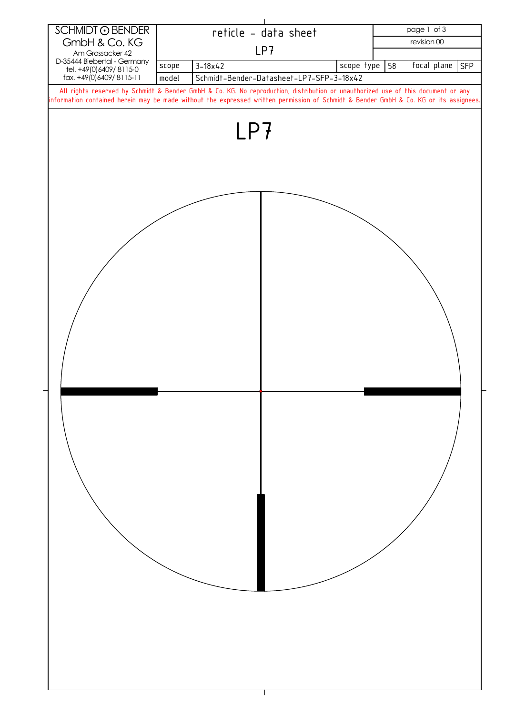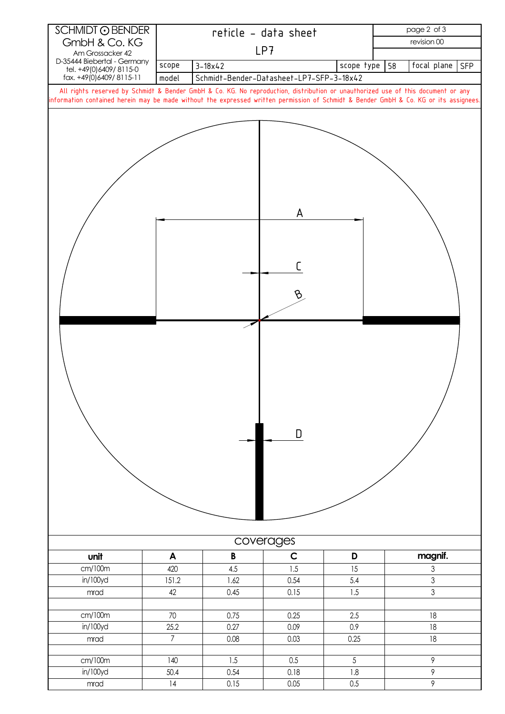